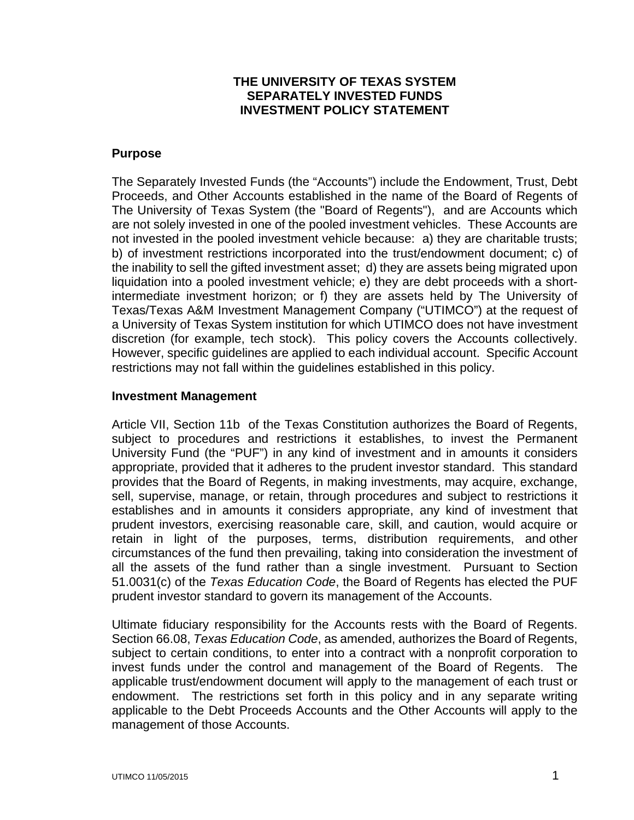## **THE UNIVERSITY OF TEXAS SYSTEM SEPARATELY INVESTED FUNDS INVESTMENT POLICY STATEMENT**

#### **Purpose**

The Separately Invested Funds (the "Accounts") include the Endowment, Trust, Debt Proceeds, and Other Accounts established in the name of the Board of Regents of The University of Texas System (the "Board of Regents"), and are Accounts which are not solely invested in one of the pooled investment vehicles. These Accounts are not invested in the pooled investment vehicle because: a) they are charitable trusts; b) of investment restrictions incorporated into the trust/endowment document; c) of the inability to sell the gifted investment asset; d) they are assets being migrated upon liquidation into a pooled investment vehicle; e) they are debt proceeds with a shortintermediate investment horizon; or f) they are assets held by The University of Texas/Texas A&M Investment Management Company ("UTIMCO") at the request of a University of Texas System institution for which UTIMCO does not have investment discretion (for example, tech stock). This policy covers the Accounts collectively. However, specific guidelines are applied to each individual account. Specific Account restrictions may not fall within the guidelines established in this policy.

#### **Investment Management**

Article VII, Section 11b of the Texas Constitution authorizes the Board of Regents, subject to procedures and restrictions it establishes, to invest the Permanent University Fund (the "PUF") in any kind of investment and in amounts it considers appropriate, provided that it adheres to the prudent investor standard. This standard provides that the Board of Regents, in making investments, may acquire, exchange, sell, supervise, manage, or retain, through procedures and subject to restrictions it establishes and in amounts it considers appropriate, any kind of investment that prudent investors, exercising reasonable care, skill, and caution, would acquire or retain in light of the purposes, terms, distribution requirements, and other circumstances of the fund then prevailing, taking into consideration the investment of all the assets of the fund rather than a single investment. Pursuant to Section 51.0031(c) of the *Texas Education Code*, the Board of Regents has elected the PUF prudent investor standard to govern its management of the Accounts.

Ultimate fiduciary responsibility for the Accounts rests with the Board of Regents. Section 66.08, *Texas Education Code*, as amended, authorizes the Board of Regents, subject to certain conditions, to enter into a contract with a nonprofit corporation to invest funds under the control and management of the Board of Regents. The applicable trust/endowment document will apply to the management of each trust or endowment. The restrictions set forth in this policy and in any separate writing applicable to the Debt Proceeds Accounts and the Other Accounts will apply to the management of those Accounts.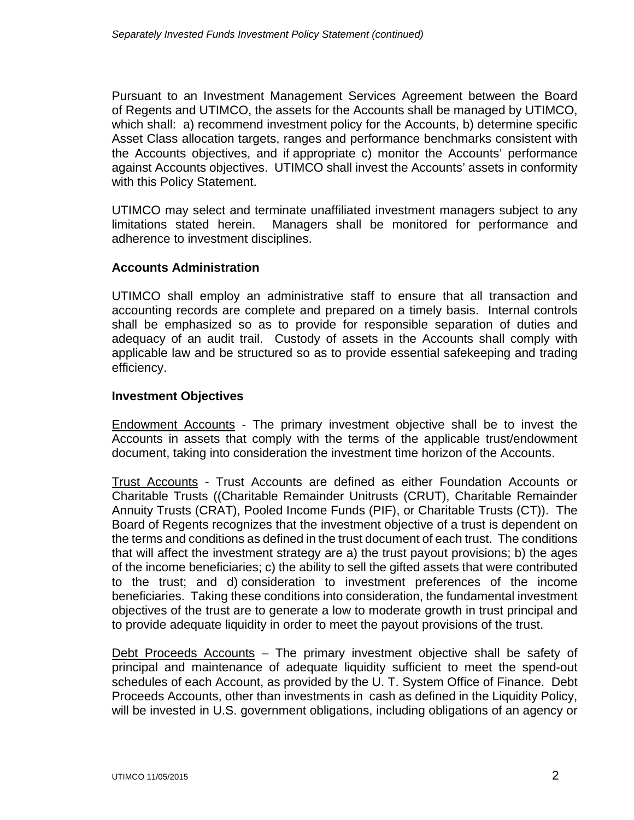Pursuant to an Investment Management Services Agreement between the Board of Regents and UTIMCO, the assets for the Accounts shall be managed by UTIMCO, which shall: a) recommend investment policy for the Accounts, b) determine specific Asset Class allocation targets, ranges and performance benchmarks consistent with the Accounts objectives, and if appropriate c) monitor the Accounts' performance against Accounts objectives. UTIMCO shall invest the Accounts' assets in conformity with this Policy Statement.

UTIMCO may select and terminate unaffiliated investment managers subject to any limitations stated herein. Managers shall be monitored for performance and adherence to investment disciplines.

## **Accounts Administration**

UTIMCO shall employ an administrative staff to ensure that all transaction and accounting records are complete and prepared on a timely basis. Internal controls shall be emphasized so as to provide for responsible separation of duties and adequacy of an audit trail. Custody of assets in the Accounts shall comply with applicable law and be structured so as to provide essential safekeeping and trading efficiency.

## **Investment Objectives**

Endowment Accounts - The primary investment objective shall be to invest the Accounts in assets that comply with the terms of the applicable trust/endowment document, taking into consideration the investment time horizon of the Accounts.

Trust Accounts - Trust Accounts are defined as either Foundation Accounts or Charitable Trusts ((Charitable Remainder Unitrusts (CRUT), Charitable Remainder Annuity Trusts (CRAT), Pooled Income Funds (PIF), or Charitable Trusts (CT)). The Board of Regents recognizes that the investment objective of a trust is dependent on the terms and conditions as defined in the trust document of each trust. The conditions that will affect the investment strategy are a) the trust payout provisions; b) the ages of the income beneficiaries; c) the ability to sell the gifted assets that were contributed to the trust; and d) consideration to investment preferences of the income beneficiaries. Taking these conditions into consideration, the fundamental investment objectives of the trust are to generate a low to moderate growth in trust principal and to provide adequate liquidity in order to meet the payout provisions of the trust.

Debt Proceeds Accounts – The primary investment objective shall be safety of principal and maintenance of adequate liquidity sufficient to meet the spend-out schedules of each Account, as provided by the U. T. System Office of Finance. Debt Proceeds Accounts, other than investments in cash as defined in the Liquidity Policy, will be invested in U.S. government obligations, including obligations of an agency or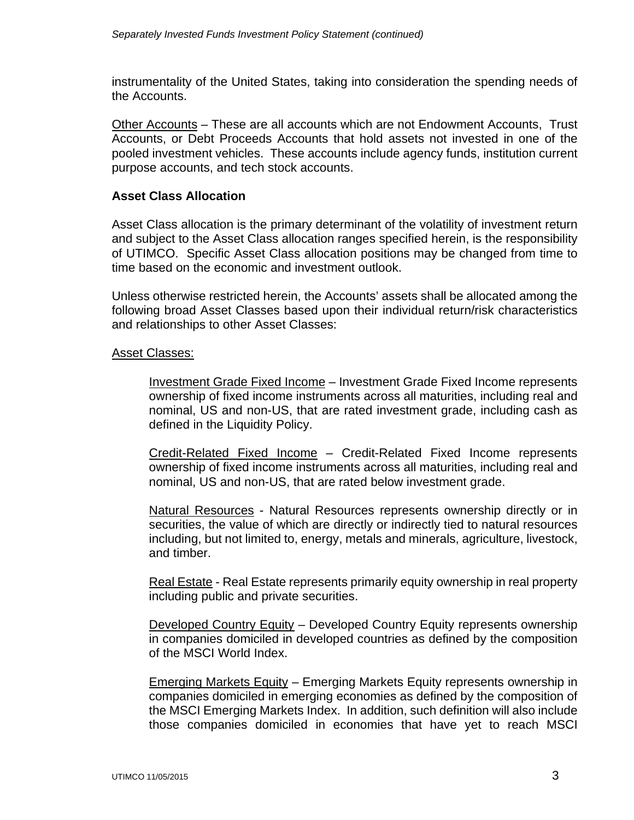instrumentality of the United States, taking into consideration the spending needs of the Accounts.

Other Accounts – These are all accounts which are not Endowment Accounts, Trust Accounts, or Debt Proceeds Accounts that hold assets not invested in one of the pooled investment vehicles. These accounts include agency funds, institution current purpose accounts, and tech stock accounts.

## **Asset Class Allocation**

Asset Class allocation is the primary determinant of the volatility of investment return and subject to the Asset Class allocation ranges specified herein, is the responsibility of UTIMCO. Specific Asset Class allocation positions may be changed from time to time based on the economic and investment outlook.

Unless otherwise restricted herein, the Accounts' assets shall be allocated among the following broad Asset Classes based upon their individual return/risk characteristics and relationships to other Asset Classes:

## Asset Classes:

Investment Grade Fixed Income – Investment Grade Fixed Income represents ownership of fixed income instruments across all maturities, including real and nominal, US and non-US, that are rated investment grade, including cash as defined in the Liquidity Policy.

Credit-Related Fixed Income – Credit-Related Fixed Income represents ownership of fixed income instruments across all maturities, including real and nominal, US and non-US, that are rated below investment grade.

Natural Resources - Natural Resources represents ownership directly or in securities, the value of which are directly or indirectly tied to natural resources including, but not limited to, energy, metals and minerals, agriculture, livestock, and timber.

Real Estate - Real Estate represents primarily equity ownership in real property including public and private securities.

Developed Country Equity – Developed Country Equity represents ownership in companies domiciled in developed countries as defined by the composition of the MSCI World Index.

Emerging Markets Equity – Emerging Markets Equity represents ownership in companies domiciled in emerging economies as defined by the composition of the MSCI Emerging Markets Index. In addition, such definition will also include those companies domiciled in economies that have yet to reach MSCI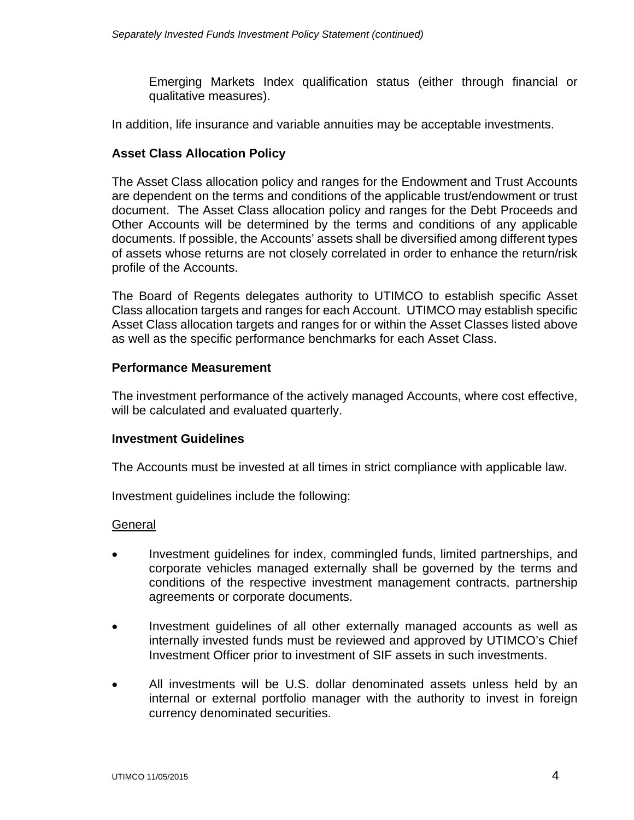Emerging Markets Index qualification status (either through financial or qualitative measures).

In addition, life insurance and variable annuities may be acceptable investments.

## **Asset Class Allocation Policy**

The Asset Class allocation policy and ranges for the Endowment and Trust Accounts are dependent on the terms and conditions of the applicable trust/endowment or trust document. The Asset Class allocation policy and ranges for the Debt Proceeds and Other Accounts will be determined by the terms and conditions of any applicable documents. If possible, the Accounts' assets shall be diversified among different types of assets whose returns are not closely correlated in order to enhance the return/risk profile of the Accounts.

The Board of Regents delegates authority to UTIMCO to establish specific Asset Class allocation targets and ranges for each Account. UTIMCO may establish specific Asset Class allocation targets and ranges for or within the Asset Classes listed above as well as the specific performance benchmarks for each Asset Class.

#### **Performance Measurement**

The investment performance of the actively managed Accounts, where cost effective, will be calculated and evaluated quarterly.

## **Investment Guidelines**

The Accounts must be invested at all times in strict compliance with applicable law.

Investment guidelines include the following:

#### **General**

- Investment guidelines for index, commingled funds, limited partnerships, and corporate vehicles managed externally shall be governed by the terms and conditions of the respective investment management contracts, partnership agreements or corporate documents.
- Investment guidelines of all other externally managed accounts as well as internally invested funds must be reviewed and approved by UTIMCO's Chief Investment Officer prior to investment of SIF assets in such investments.
- All investments will be U.S. dollar denominated assets unless held by an internal or external portfolio manager with the authority to invest in foreign currency denominated securities.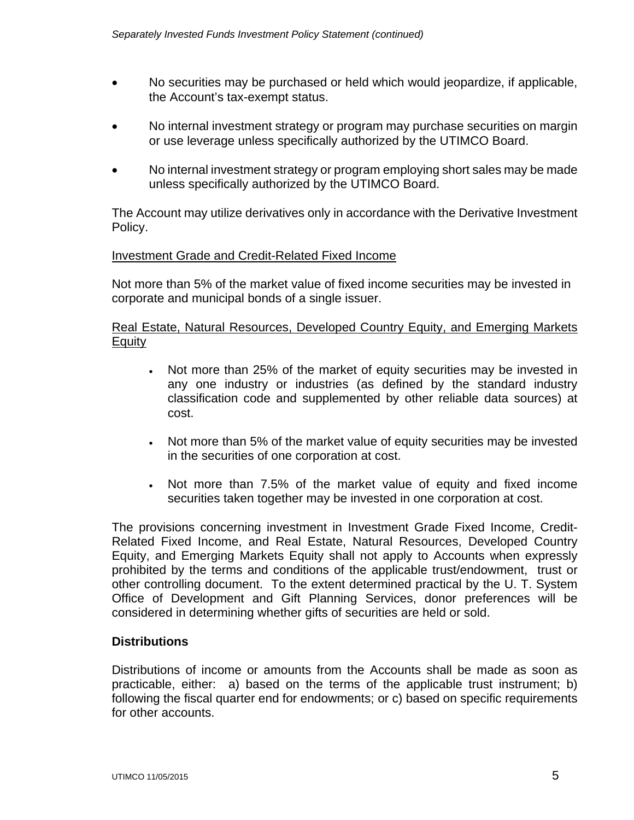- No securities may be purchased or held which would jeopardize, if applicable, the Account's tax-exempt status.
- No internal investment strategy or program may purchase securities on margin or use leverage unless specifically authorized by the UTIMCO Board.
- No internal investment strategy or program employing short sales may be made unless specifically authorized by the UTIMCO Board.

The Account may utilize derivatives only in accordance with the Derivative Investment Policy.

## Investment Grade and Credit-Related Fixed Income

Not more than 5% of the market value of fixed income securities may be invested in corporate and municipal bonds of a single issuer.

## Real Estate, Natural Resources, Developed Country Equity, and Emerging Markets **Equity**

- Not more than 25% of the market of equity securities may be invested in any one industry or industries (as defined by the standard industry classification code and supplemented by other reliable data sources) at cost.
- Not more than 5% of the market value of equity securities may be invested in the securities of one corporation at cost.
- Not more than 7.5% of the market value of equity and fixed income securities taken together may be invested in one corporation at cost.

The provisions concerning investment in Investment Grade Fixed Income, Credit-Related Fixed Income, and Real Estate, Natural Resources, Developed Country Equity, and Emerging Markets Equity shall not apply to Accounts when expressly prohibited by the terms and conditions of the applicable trust/endowment, trust or other controlling document. To the extent determined practical by the U. T. System Office of Development and Gift Planning Services, donor preferences will be considered in determining whether gifts of securities are held or sold.

## **Distributions**

Distributions of income or amounts from the Accounts shall be made as soon as practicable, either: a) based on the terms of the applicable trust instrument; b) following the fiscal quarter end for endowments; or c) based on specific requirements for other accounts.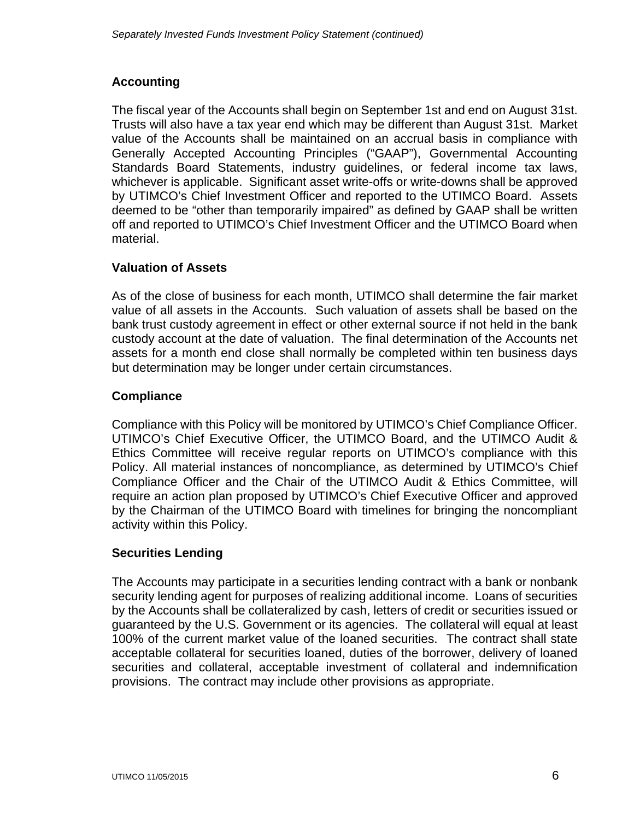## **Accounting**

The fiscal year of the Accounts shall begin on September 1st and end on August 31st. Trusts will also have a tax year end which may be different than August 31st. Market value of the Accounts shall be maintained on an accrual basis in compliance with Generally Accepted Accounting Principles ("GAAP"), Governmental Accounting Standards Board Statements, industry guidelines, or federal income tax laws, whichever is applicable. Significant asset write-offs or write-downs shall be approved by UTIMCO's Chief Investment Officer and reported to the UTIMCO Board. Assets deemed to be "other than temporarily impaired" as defined by GAAP shall be written off and reported to UTIMCO's Chief Investment Officer and the UTIMCO Board when material.

# **Valuation of Assets**

As of the close of business for each month, UTIMCO shall determine the fair market value of all assets in the Accounts. Such valuation of assets shall be based on the bank trust custody agreement in effect or other external source if not held in the bank custody account at the date of valuation. The final determination of the Accounts net assets for a month end close shall normally be completed within ten business days but determination may be longer under certain circumstances.

# **Compliance**

Compliance with this Policy will be monitored by UTIMCO's Chief Compliance Officer. UTIMCO's Chief Executive Officer, the UTIMCO Board, and the UTIMCO Audit & Ethics Committee will receive regular reports on UTIMCO's compliance with this Policy. All material instances of noncompliance, as determined by UTIMCO's Chief Compliance Officer and the Chair of the UTIMCO Audit & Ethics Committee, will require an action plan proposed by UTIMCO's Chief Executive Officer and approved by the Chairman of the UTIMCO Board with timelines for bringing the noncompliant activity within this Policy.

## **Securities Lending**

The Accounts may participate in a securities lending contract with a bank or nonbank security lending agent for purposes of realizing additional income. Loans of securities by the Accounts shall be collateralized by cash, letters of credit or securities issued or guaranteed by the U.S. Government or its agencies. The collateral will equal at least 100% of the current market value of the loaned securities. The contract shall state acceptable collateral for securities loaned, duties of the borrower, delivery of loaned securities and collateral, acceptable investment of collateral and indemnification provisions. The contract may include other provisions as appropriate.